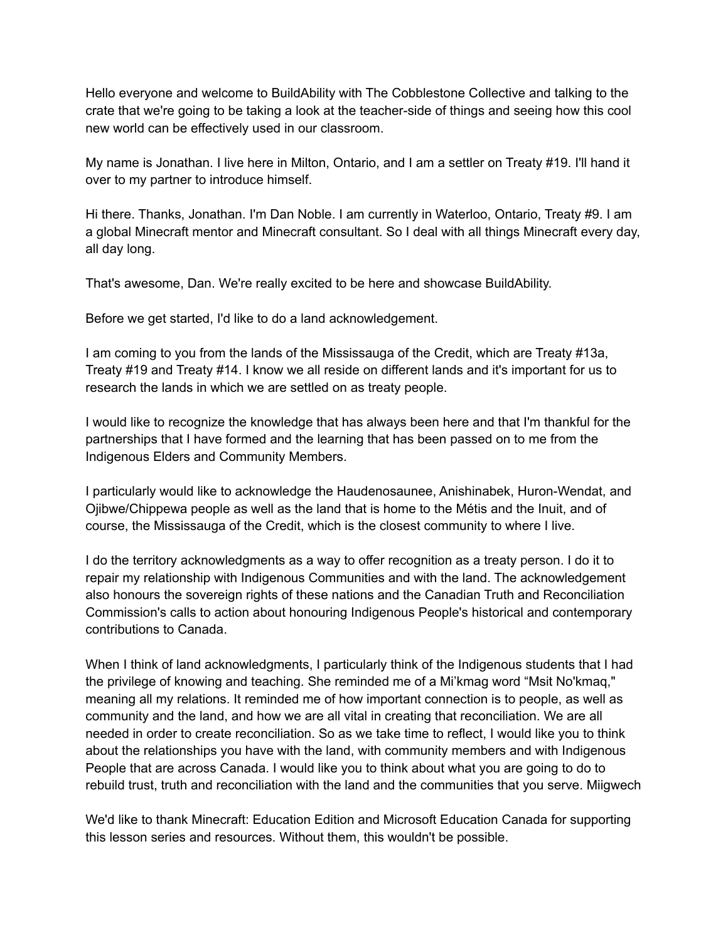Hello everyone and welcome to BuildAbility with The Cobblestone Collective and talking to the crate that we're going to be taking a look at the teacher-side of things and seeing how this cool new world can be effectively used in our classroom.

My name is Jonathan. I live here in Milton, Ontario, and I am a settler on Treaty #19. I'll hand it over to my partner to introduce himself.

Hi there. Thanks, Jonathan. I'm Dan Noble. I am currently in Waterloo, Ontario, Treaty #9. I am a global Minecraft mentor and Minecraft consultant. So I deal with all things Minecraft every day, all day long.

That's awesome, Dan. We're really excited to be here and showcase BuildAbility.

Before we get started, I'd like to do a land acknowledgement.

I am coming to you from the lands of the Mississauga of the Credit, which are Treaty #13a, Treaty #19 and Treaty #14. I know we all reside on different lands and it's important for us to research the lands in which we are settled on as treaty people.

I would like to recognize the knowledge that has always been here and that I'm thankful for the partnerships that I have formed and the learning that has been passed on to me from the Indigenous Elders and Community Members.

I particularly would like to acknowledge the Haudenosaunee, Anishinabek, Huron-Wendat, and Ojibwe/Chippewa people as well as the land that is home to the Métis and the Inuit, and of course, the Mississauga of the Credit, which is the closest community to where I live.

I do the territory acknowledgments as a way to offer recognition as a treaty person. I do it to repair my relationship with Indigenous Communities and with the land. The acknowledgement also honours the sovereign rights of these nations and the Canadian Truth and Reconciliation Commission's calls to action about honouring Indigenous People's historical and contemporary contributions to Canada.

When I think of land acknowledgments, I particularly think of the Indigenous students that I had the privilege of knowing and teaching. She reminded me of a Mi'kmag word "Msit No'kmaq," meaning all my relations. It reminded me of how important connection is to people, as well as community and the land, and how we are all vital in creating that reconciliation. We are all needed in order to create reconciliation. So as we take time to reflect, I would like you to think about the relationships you have with the land, with community members and with Indigenous People that are across Canada. I would like you to think about what you are going to do to rebuild trust, truth and reconciliation with the land and the communities that you serve. Miigwech

We'd like to thank Minecraft: Education Edition and Microsoft Education Canada for supporting this lesson series and resources. Without them, this wouldn't be possible.